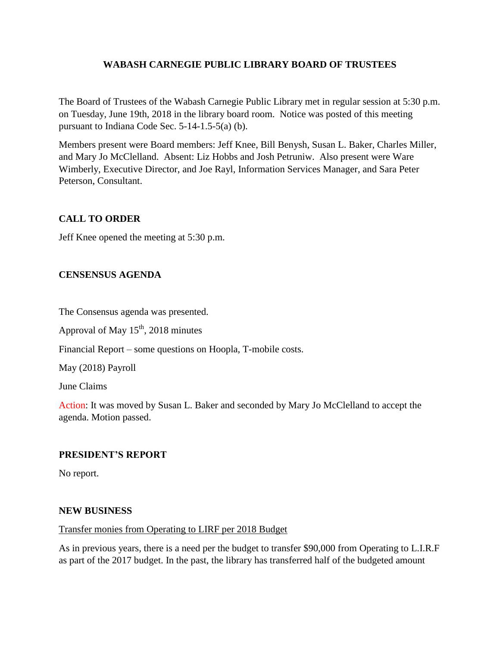# **WABASH CARNEGIE PUBLIC LIBRARY BOARD OF TRUSTEES**

The Board of Trustees of the Wabash Carnegie Public Library met in regular session at 5:30 p.m. on Tuesday, June 19th, 2018 in the library board room. Notice was posted of this meeting pursuant to Indiana Code Sec. 5-14-1.5-5(a) (b).

Members present were Board members: Jeff Knee, Bill Benysh, Susan L. Baker, Charles Miller, and Mary Jo McClelland. Absent: Liz Hobbs and Josh Petruniw. Also present were Ware Wimberly, Executive Director, and Joe Rayl, Information Services Manager, and Sara Peter Peterson, Consultant.

# **CALL TO ORDER**

Jeff Knee opened the meeting at 5:30 p.m.

# **CENSENSUS AGENDA**

The Consensus agenda was presented.

Approval of May  $15<sup>th</sup>$ , 2018 minutes

Financial Report – some questions on Hoopla, T-mobile costs.

May (2018) Payroll

June Claims

Action: It was moved by Susan L. Baker and seconded by Mary Jo McClelland to accept the agenda. Motion passed.

## **PRESIDENT'S REPORT**

No report.

#### **NEW BUSINESS**

#### Transfer monies from Operating to LIRF per 2018 Budget

As in previous years, there is a need per the budget to transfer \$90,000 from Operating to L.I.R.F as part of the 2017 budget. In the past, the library has transferred half of the budgeted amount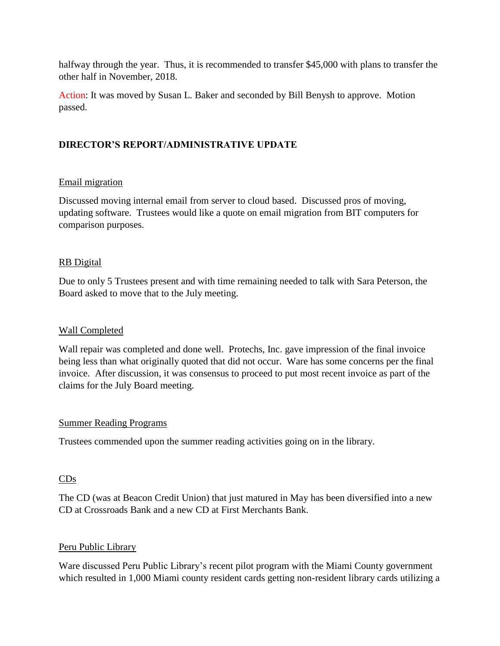halfway through the year. Thus, it is recommended to transfer \$45,000 with plans to transfer the other half in November, 2018.

Action: It was moved by Susan L. Baker and seconded by Bill Benysh to approve. Motion passed.

# **DIRECTOR'S REPORT/ADMINISTRATIVE UPDATE**

## Email migration

Discussed moving internal email from server to cloud based. Discussed pros of moving, updating software. Trustees would like a quote on email migration from BIT computers for comparison purposes.

## RB Digital

Due to only 5 Trustees present and with time remaining needed to talk with Sara Peterson, the Board asked to move that to the July meeting.

#### Wall Completed

Wall repair was completed and done well. Protechs, Inc. gave impression of the final invoice being less than what originally quoted that did not occur. Ware has some concerns per the final invoice. After discussion, it was consensus to proceed to put most recent invoice as part of the claims for the July Board meeting.

#### Summer Reading Programs

Trustees commended upon the summer reading activities going on in the library.

## CDs

The CD (was at Beacon Credit Union) that just matured in May has been diversified into a new CD at Crossroads Bank and a new CD at First Merchants Bank.

#### Peru Public Library

Ware discussed Peru Public Library's recent pilot program with the Miami County government which resulted in 1,000 Miami county resident cards getting non-resident library cards utilizing a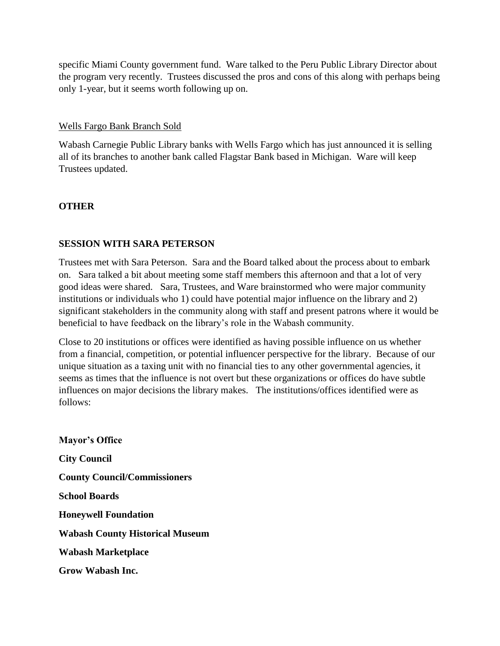specific Miami County government fund. Ware talked to the Peru Public Library Director about the program very recently. Trustees discussed the pros and cons of this along with perhaps being only 1-year, but it seems worth following up on.

## Wells Fargo Bank Branch Sold

Wabash Carnegie Public Library banks with Wells Fargo which has just announced it is selling all of its branches to another bank called Flagstar Bank based in Michigan. Ware will keep Trustees updated.

## **OTHER**

## **SESSION WITH SARA PETERSON**

Trustees met with Sara Peterson. Sara and the Board talked about the process about to embark on. Sara talked a bit about meeting some staff members this afternoon and that a lot of very good ideas were shared. Sara, Trustees, and Ware brainstormed who were major community institutions or individuals who 1) could have potential major influence on the library and 2) significant stakeholders in the community along with staff and present patrons where it would be beneficial to have feedback on the library's role in the Wabash community.

Close to 20 institutions or offices were identified as having possible influence on us whether from a financial, competition, or potential influencer perspective for the library. Because of our unique situation as a taxing unit with no financial ties to any other governmental agencies, it seems as times that the influence is not overt but these organizations or offices do have subtle influences on major decisions the library makes. The institutions/offices identified were as follows:

**Mayor's Office City Council County Council/Commissioners School Boards Honeywell Foundation Wabash County Historical Museum Wabash Marketplace Grow Wabash Inc.**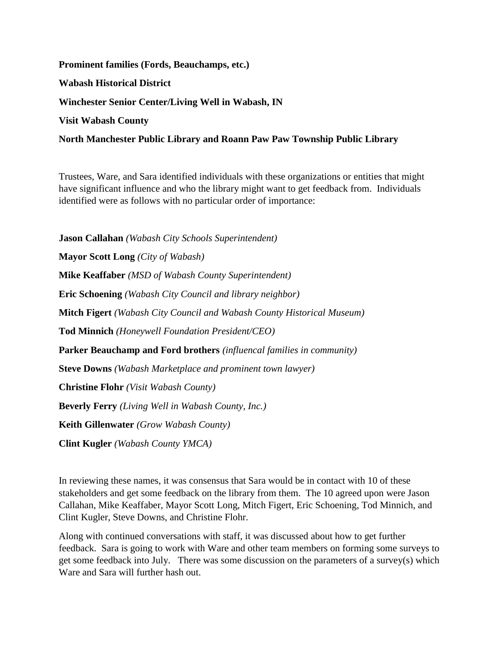# **Prominent families (Fords, Beauchamps, etc.) Wabash Historical District Winchester Senior Center/Living Well in Wabash, IN Visit Wabash County**

# **North Manchester Public Library and Roann Paw Paw Township Public Library**

Trustees, Ware, and Sara identified individuals with these organizations or entities that might have significant influence and who the library might want to get feedback from. Individuals identified were as follows with no particular order of importance:

**Jason Callahan** *(Wabash City Schools Superintendent)* **Mayor Scott Long** *(City of Wabash)* **Mike Keaffaber** *(MSD of Wabash County Superintendent)* **Eric [Schoening](http://www.cityofwabash.com/egov/apps/staff/directory.egov?view=detail;id=13)** *(Wabash City Council and library neighbor)* **Mitch Figert** *(Wabash City Council and Wabash County Historical Museum)* **Tod Minnich** *(Honeywell Foundation President/CEO)* **Parker Beauchamp and Ford brothers** *(influencal families in community)* **Steve Downs** *(Wabash Marketplace and prominent town lawyer)* **Christine Flohr** *(Visit Wabash County)* **Beverly Ferry** *(Living Well in Wabash County, Inc.)* **Keith Gillenwater** *(Grow Wabash County)* **Clint Kugler** *(Wabash County YMCA)*

In reviewing these names, it was consensus that Sara would be in contact with 10 of these stakeholders and get some feedback on the library from them. The 10 agreed upon were Jason Callahan, Mike Keaffaber, Mayor Scott Long, Mitch Figert, Eric [Schoening,](http://www.cityofwabash.com/egov/apps/staff/directory.egov?view=detail;id=13) Tod Minnich, and Clint Kugler, Steve Downs, and Christine Flohr.

Along with continued conversations with staff, it was discussed about how to get further feedback. Sara is going to work with Ware and other team members on forming some surveys to get some feedback into July. There was some discussion on the parameters of a survey(s) which Ware and Sara will further hash out.